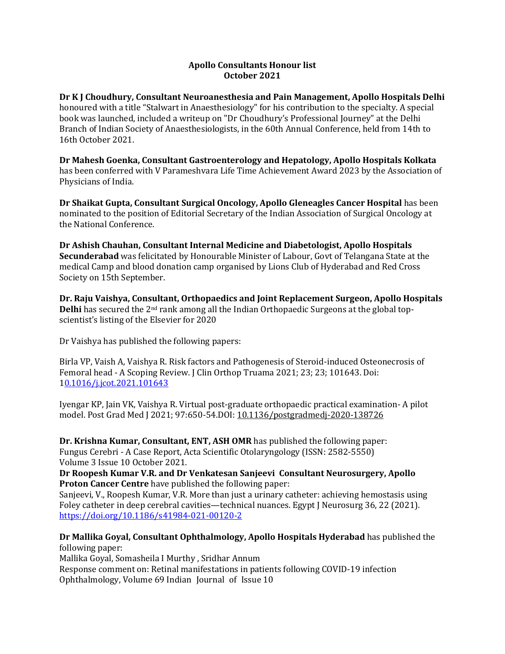### **Apollo Consultants Honour list October 2021**

**Dr K J Choudhury, Consultant Neuroanesthesia and Pain Management, Apollo Hospitals Delhi**  honoured with a title "Stalwart in Anaesthesiology" for his contribution to the specialty. A special book was launched, included a writeup on "Dr Choudhury's Professional Journey" at the Delhi Branch of Indian Society of Anaesthesiologists, in the 60th Annual Conference, held from 14th to 16th October 2021.

**Dr Mahesh Goenka, Consultant Gastroenterology and Hepatology, Apollo Hospitals Kolkata**  has been conferred with V Parameshvara Life Time Achievement Award 2023 by the Association of Physicians of India.

**Dr Shaikat Gupta, Consultant Surgical Oncology, Apollo Gleneagles Cancer Hospital** has been nominated to the position of Editorial Secretary of the Indian Association of Surgical Oncology at the National Conference.

**Dr Ashish Chauhan, Consultant Internal Medicine and Diabetologist, Apollo Hospitals Secunderabad** was felicitated by Honourable Minister of Labour, Govt of Telangana State at the medical Camp and blood donation camp organised by Lions Club of Hyderabad and Red Cross Society on 15th September.

**Dr. Raju Vaishya, Consultant, Orthopaedics and Joint Replacement Surgeon, Apollo Hospitals Delhi** has secured the 2nd rank among all the Indian Orthopaedic Surgeons at the global topscientist's listing of the Elsevier for 2020

Dr Vaishya has published the following papers:

Birla VP, Vaish A, Vaishya R. Risk factors and Pathogenesis of Steroid-induced Osteonecrosis of Femoral head - A Scoping Review. J Clin Orthop Truama 2021; 23; 23; 101643. Doi: [10.1016/j.jcot.2021.101643](https://apc01.safelinks.protection.outlook.com/?url=https%3A%2F%2Fdoi.org%2F10.1016%2Fj.jcot.2021.101643&data=04%7C01%7Cdranil_t%40apollohospitalsdelhi.com%7Ca3f5fd24b4d2402e309508d9a8ec3e2d%7C6a4994b0b5fa40878c728214c8b7bc21%7C0%7C0%7C637726554888074092%7CUnknown%7CTWFpbGZsb3d8eyJWIjoiMC4wLjAwMDAiLCJQIjoiV2luMzIiLCJBTiI6Ik1haWwiLCJXVCI6Mn0%3D%7C3000&sdata=rTXyeOcK%2BaEbgjDmdW%2FbO05rfLswpR0uHA0GcrU%2B4Ts%3D&reserved=0)

Iyengar KP, Jain VK, Vaishya R. Virtual post-graduate orthopaedic practical examination- A pilot model. Post Grad Med J 2021; 97:650-54.DOI: [10.1136/postgradmedj-2020-138726](https://apc01.safelinks.protection.outlook.com/?url=https%3A%2F%2Fwww.researchgate.net%2Fderef%2Fhttp%253A%252F%252Fdx.doi.org%252F10.1136%252Fpostgradmedj-2020-138726%3F_sg%255B0%255D%3D1hXtrkk3_8224oYuli5z4J1ET3GcGEBvz3PRhOdkBHTP1-4bd6mS-RUc13nNZQ3inXkFAwIzeLMtAq2x82osvPyfiw.aQpp3g7UiBSRmgXtZsYXf4tKpexgeXR4lXwMOQMROkVnujbvWLrc_Aa7mdJeczuuUxIV-cjXr2_LgobaP5geRg&data=04%7C01%7Cdranil_t%40apollohospitalsdelhi.com%7Ca3f5fd24b4d2402e309508d9a8ec3e2d%7C6a4994b0b5fa40878c728214c8b7bc21%7C0%7C0%7C637726554888084046%7CUnknown%7CTWFpbGZsb3d8eyJWIjoiMC4wLjAwMDAiLCJQIjoiV2luMzIiLCJBTiI6Ik1haWwiLCJXVCI6Mn0%3D%7C3000&sdata=ikJ3TSjQewfE4%2BwVfqBUHYjX6W3tMK2fx53lwb3ZxGs%3D&reserved=0)

**Dr. Krishna Kumar, Consultant, ENT, ASH OMR** has published the following paper: Fungus Cerebri - A Case Report, Acta Scientific Otolaryngology (ISSN: 2582-5550) Volume 3 Issue 10 October 2021.

**Dr Roopesh Kumar V.R. and Dr Venkatesan Sanjeevi Consultant Neurosurgery, Apollo Proton Cancer Centre** have published the following paper:

Sanjeevi, V., Roopesh Kumar, V.R. More than just a urinary catheter: achieving hemostasis using Foley catheter in deep cerebral cavities—technical nuances. Egypt J Neurosurg 36, 22 (2021). [https://doi.org/10.1186/s41984-021-00120-2](https://apc01.safelinks.protection.outlook.com/?url=https%3A%2F%2Fdoi.org%2F10.1186%2Fs41984-021-00120-2&data=04%7C01%7Cdranil_t%40apollohospitalsdelhi.com%7Ca3f5fd24b4d2402e309508d9a8ec3e2d%7C6a4994b0b5fa40878c728214c8b7bc21%7C0%7C0%7C637726554888084046%7CUnknown%7CTWFpbGZsb3d8eyJWIjoiMC4wLjAwMDAiLCJQIjoiV2luMzIiLCJBTiI6Ik1haWwiLCJXVCI6Mn0%3D%7C3000&sdata=0ZtXXd3%2FpPwylCupe%2FR9T3u8WhmedTRbSYS55qbzPvE%3D&reserved=0)

**Dr Mallika Goyal, Consultant Ophthalmology, Apollo Hospitals Hyderabad** has published the following paper:

Mallika Goyal, Somasheila I Murthy , Sridhar Annum Response comment on: Retinal manifestations in patients following COVID-19 infection Ophthalmology, Volume 69 Indian Journal of Issue 10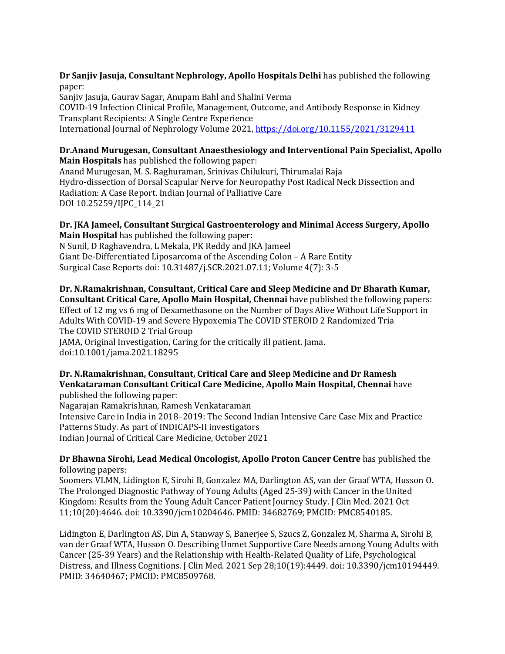**Dr Sanjiv Jasuja, Consultant Nephrology, Apollo Hospitals Delhi** has published the following paper:

Sanjiv Jasuja, Gaurav Sagar, Anupam Bahl and Shalini Verma COVID-19 Infection Clinical Profile, Management, Outcome, and Antibody Response in Kidney Transplant Recipients: A Single Centre Experience International Journal of Nephrology Volume 2021, [https://doi.org/10.1155/2021/3129411](https://apc01.safelinks.protection.outlook.com/?url=https%3A%2F%2Fdoi.org%2F10.1155%2F2021%2F3129411&data=04%7C01%7Cdranil_t%40apollohospitalsdelhi.com%7Ca3f5fd24b4d2402e309508d9a8ec3e2d%7C6a4994b0b5fa40878c728214c8b7bc21%7C0%7C0%7C637726554888094002%7CUnknown%7CTWFpbGZsb3d8eyJWIjoiMC4wLjAwMDAiLCJQIjoiV2luMzIiLCJBTiI6Ik1haWwiLCJXVCI6Mn0%3D%7C3000&sdata=fjVHnLuTSk3bPwzsT98yNAQsImufTFWeOHtaqHb2tHY%3D&reserved=0)

#### **Dr.Anand Murugesan, Consultant Anaesthesiology and Interventional Pain Specialist, Apollo Main Hospitals** has published the following paper:

Anand Murugesan, M. S. Raghuraman, Srinivas Chilukuri, Thirumalai Raja Hydro-dissection of Dorsal Scapular Nerve for Neuropathy Post Radical Neck Dissection and Radiation: A Case Report. Indian Journal of Palliative Care DOI 10.25259/IJPC\_114\_21

## **Dr. JKA Jameel, Consultant Surgical Gastroenterology and Minimal Access Surgery, Apollo Main Hospital** has published the following paper:

N Sunil, D Raghavendra, L Mekala, PK Reddy and JKA Jameel Giant De-Differentiated Liposarcoma of the Ascending Colon – A Rare Entity Surgical Case Reports doi: 10.31487/j.SCR.2021.07.11; Volume 4(7): 3-5

**Dr. N.Ramakrishnan, Consultant, Critical Care and Sleep Medicine and Dr Bharath Kumar, Consultant Critical Care, Apollo Main Hospital, Chennai** have published the following papers: Effect of 12 mg vs 6 mg of Dexamethasone on the Number of Days Alive Without Life Support in Adults With COVID-19 and Severe Hypoxemia The COVID STEROID 2 Randomized Tria The COVID STEROID 2 Trial Group JAMA, Original Investigation, Caring for the critically ill patient. Jama. doi:10.1001/jama.2021.18295

# **Dr. N.Ramakrishnan, Consultant, Critical Care and Sleep Medicine and Dr Ramesh Venkataraman Consultant Critical Care Medicine, Apollo Main Hospital, Chennai** have

published the following paper: Nagarajan Ramakrishnan, Ramesh Venkataraman Intensive Care in India in 2018–2019: The Second Indian Intensive Care Case Mix and Practice Patterns Study. As part of INDICAPS-II investigators Indian Journal of Critical Care Medicine, October 2021

# **Dr Bhawna Sirohi, Lead Medical Oncologist, Apollo Proton Cancer Centre** has published the following papers:

Soomers VLMN, Lidington E, Sirohi B, Gonzalez MA, Darlington AS, van der Graaf WTA, Husson O. The Prolonged Diagnostic Pathway of Young Adults (Aged 25-39) with Cancer in the United Kingdom: Results from the Young Adult Cancer Patient Journey Study. J Clin Med. 2021 Oct 11;10(20):4646. doi: 10.3390/jcm10204646. PMID: 34682769; PMCID: PMC8540185.

Lidington E, Darlington AS, Din A, Stanway S, Banerjee S, Szucs Z, Gonzalez M, Sharma A, Sirohi B, van der Graaf WTA, Husson O. Describing Unmet Supportive Care Needs among Young Adults with Cancer (25-39 Years) and the Relationship with Health-Related Quality of Life, Psychological Distress, and Illness Cognitions. J Clin Med. 2021 Sep 28;10(19):4449. doi: 10.3390/jcm10194449. PMID: 34640467; PMCID: PMC8509768.